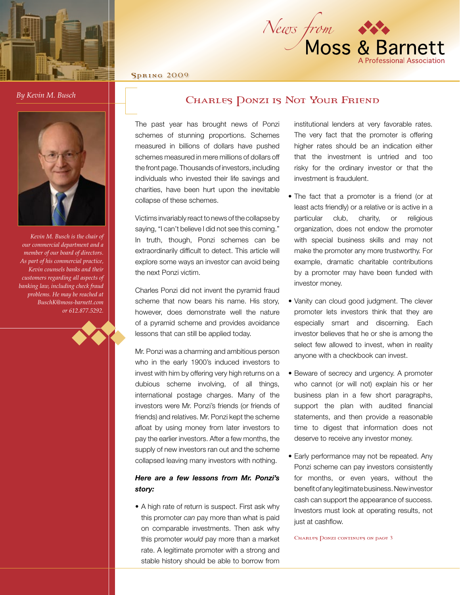



Spring 2009

*By Kevin M. Busch*

## CHARLES DONZI IS NOT YOUR FRIEND



*Kevin M. Busch is the chair of our commercial department and a member of our board of directors. As part of his commercial practice, Kevin counsels banks and their customers regarding all aspects of banking law, including check fraud problems. He may be reached at BuschK@moss-barnett.com or 612.877.5292.*

The past year has brought news of Ponzi schemes of stunning proportions. Schemes measured in billions of dollars have pushed schemes measured in mere millions of dollars off the front page. Thousands of investors, including individuals who invested their life savings and charities, have been hurt upon the inevitable collapse of these schemes.

Victims invariably react to news of the collapse by saying, "I can't believe I did not see this coming." In truth, though, Ponzi schemes can be extraordinarily difficult to detect. This article will explore some ways an investor can avoid being the next Ponzi victim.

Charles Ponzi did not invent the pyramid fraud scheme that now bears his name. His story, however, does demonstrate well the nature of a pyramid scheme and provides avoidance lessons that can still be applied today.

Mr. Ponzi was a charming and ambitious person who in the early 1900's induced investors to invest with him by offering very high returns on a dubious scheme involving, of all things, international postage charges. Many of the investors were Mr. Ponzi's friends (or friends of friends) and relatives. Mr. Ponzi kept the scheme afloat by using money from later investors to pay the earlier investors. After a few months, the supply of new investors ran out and the scheme collapsed leaving many investors with nothing.

## *Here are a few lessons from Mr. Ponzi's story:*

• A high rate of return is suspect. First ask why this promoter *can* pay more than what is paid on comparable investments. Then ask why this promoter *would* pay more than a market rate. A legitimate promoter with a strong and stable history should be able to borrow from

institutional lenders at very favorable rates. The very fact that the promoter is offering higher rates should be an indication either that the investment is untried and too risky for the ordinary investor or that the investment is fraudulent.

- The fact that a promoter is a friend (or at least acts friendly) or a relative or is active in a particular club, charity, or religious organization, does not endow the promoter with special business skills and may not make the promoter any more trustworthy. For example, dramatic charitable contributions by a promoter may have been funded with investor money.
- Vanity can cloud good judgment. The clever ell the nature bromoter lets investors think that they are especially smart and discerning. Each today. **The investor believes that he or she is among the** investor believes that he or she is among the select few allowed to invest, when in reality anyone with a checkbook can invest.
	- Beware of secrecy and urgency. A promoter who cannot (or will not) explain his or her business plan in a few short paragraphs, support the plan with audited financial statements, and then provide a reasonable time to digest that information does not deserve to receive any investor money.
	- Early performance may not be repeated. Any Ponzi scheme can pay investors consistently for months, or even years, without the benefit of any legitimate business. New investor cash can support the appearance of success. Investors must look at operating results, not just at cashflow.

CHARLES DONZI CONTINUES ON PAGE 3